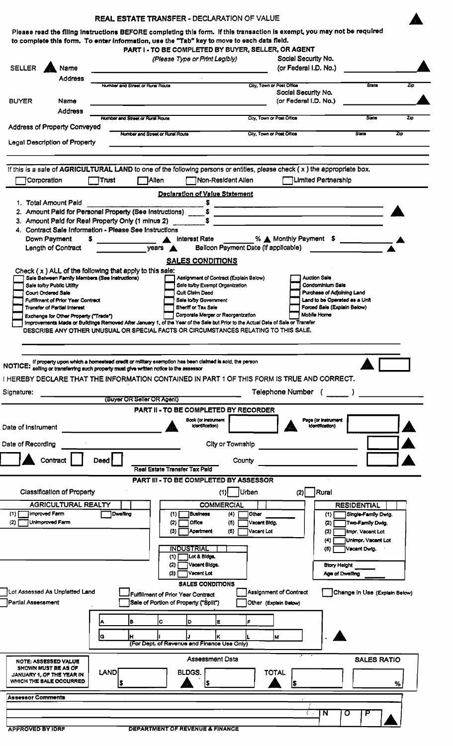|                                                                                                 | <b>REAL ESTATE TRANSFER - DECLARATION OF VALUE</b>                             |                                                                                                                                  |                                                                                                                                                                                                                                      |                |
|-------------------------------------------------------------------------------------------------|--------------------------------------------------------------------------------|----------------------------------------------------------------------------------------------------------------------------------|--------------------------------------------------------------------------------------------------------------------------------------------------------------------------------------------------------------------------------------|----------------|
|                                                                                                 |                                                                                |                                                                                                                                  | Please read the filing instructions BEFORE completing this form. If this transaction is exempt, you may not be required                                                                                                              |                |
|                                                                                                 |                                                                                | to complete this form. To enter information, use the "Tab" key to move to each data field.                                       |                                                                                                                                                                                                                                      |                |
|                                                                                                 |                                                                                | PART I - TO BE COMPLETED BY BUYER, SELLER, OR AGENT                                                                              |                                                                                                                                                                                                                                      |                |
|                                                                                                 |                                                                                | (Please Type or Print Legibly)                                                                                                   | Social Security No.                                                                                                                                                                                                                  |                |
| <b>SELLER</b><br>Name                                                                           |                                                                                |                                                                                                                                  | (or Federal I.D. No.)                                                                                                                                                                                                                |                |
| <b>Address</b>                                                                                  |                                                                                |                                                                                                                                  |                                                                                                                                                                                                                                      |                |
|                                                                                                 | Number and Street or Rural Route                                               |                                                                                                                                  | <b>State</b><br>City, Town or Post Office                                                                                                                                                                                            | Zio            |
|                                                                                                 |                                                                                |                                                                                                                                  | Social Security No.                                                                                                                                                                                                                  |                |
| <b>BUYER</b><br>Name                                                                            |                                                                                |                                                                                                                                  | (or Federal I.D. No.)                                                                                                                                                                                                                |                |
| <b>Address</b>                                                                                  |                                                                                |                                                                                                                                  |                                                                                                                                                                                                                                      |                |
|                                                                                                 | Number and Street or Rural Route                                               |                                                                                                                                  | City, Town or Post Office<br><b>State</b>                                                                                                                                                                                            | 2 <sub>0</sub> |
| <b>Address of Property Conveyed</b>                                                             | Number and Street or Rural Route                                               |                                                                                                                                  | City, Town or Post Office<br><b>State</b>                                                                                                                                                                                            | Zip            |
| Legal Description of Property                                                                   |                                                                                |                                                                                                                                  |                                                                                                                                                                                                                                      |                |
|                                                                                                 |                                                                                |                                                                                                                                  |                                                                                                                                                                                                                                      |                |
|                                                                                                 |                                                                                |                                                                                                                                  |                                                                                                                                                                                                                                      |                |
|                                                                                                 |                                                                                |                                                                                                                                  | If this is a sale of AGRICULTURAL LAND to one of the following persons or entities, please check (x) the appropriate box.                                                                                                            |                |
| Corporation                                                                                     | <b>TAllen</b><br>$\top$ Trust                                                  | Non-Resident Alien                                                                                                               | Limited Partnership                                                                                                                                                                                                                  |                |
|                                                                                                 |                                                                                |                                                                                                                                  |                                                                                                                                                                                                                                      |                |
|                                                                                                 |                                                                                | <b>Declaration of Value Statement</b>                                                                                            |                                                                                                                                                                                                                                      |                |
| 1. Total Amount Pald                                                                            |                                                                                |                                                                                                                                  |                                                                                                                                                                                                                                      |                |
| 2. Amount Paid for Personal Property (See Instructions)                                         |                                                                                |                                                                                                                                  | <u>and the state of the state of the state of the state of the state of the state of the state of the state of the state of the state of the state of the state of the state of the state of the state of the state of the state</u> |                |
| 3. Amount Paid for Real Property Only (1 minus 2)                                               |                                                                                |                                                                                                                                  |                                                                                                                                                                                                                                      |                |
| 4. Contract Sale Information - Please See Instructions                                          |                                                                                |                                                                                                                                  |                                                                                                                                                                                                                                      |                |
| Down Payment                                                                                    | S                                                                              | <b>Interest Rate</b>                                                                                                             | % ▲ Monthly Payment \$                                                                                                                                                                                                               |                |
| Length of Contract                                                                              |                                                                                | Balloon Payment Date (if applicable)<br>$\gamma$ ears $\Delta$                                                                   |                                                                                                                                                                                                                                      |                |
|                                                                                                 |                                                                                | <b>SALES CONDITIONS</b>                                                                                                          |                                                                                                                                                                                                                                      |                |
| Check $(x)$ ALL of the following that apply to this sale:                                       |                                                                                |                                                                                                                                  |                                                                                                                                                                                                                                      |                |
| Sale Between Family Members (See Instructions)                                                  |                                                                                | Assignment of Contract (Explain Below)                                                                                           | Auction Sale                                                                                                                                                                                                                         |                |
| Sale to/by Public Utility                                                                       |                                                                                | Sale to/by Exempt Organization                                                                                                   | Condominium Sale                                                                                                                                                                                                                     |                |
| Court Ordered Sale                                                                              |                                                                                | Quit Claim Deed                                                                                                                  | Purchase of Adjoining Land                                                                                                                                                                                                           |                |
| Fulfillment of Prior Year Contract                                                              |                                                                                | Sale to/by Government<br>Sheriff or Tax Sale                                                                                     | Land to be Operated as a Unit<br>Forced Sale (Explain Below)                                                                                                                                                                         |                |
| <b>Transfer of Partial Interest</b>                                                             |                                                                                | Corporate Merger or Reorganization                                                                                               | Mobile Home                                                                                                                                                                                                                          |                |
| Exchange for Other Property ("Trade")                                                           |                                                                                | Improvements Made or Buildings Removed After January 1, of the Year of the Sale but Prior to the Actual Date of Sale or Transfer |                                                                                                                                                                                                                                      |                |
|                                                                                                 |                                                                                | DESCRIBE ANY OTHER UNUSUAL OR SPECIAL FACTS OR CIRCUMSTANCES RELATING TO THIS SALE.                                              |                                                                                                                                                                                                                                      |                |
|                                                                                                 |                                                                                |                                                                                                                                  |                                                                                                                                                                                                                                      |                |
|                                                                                                 |                                                                                |                                                                                                                                  |                                                                                                                                                                                                                                      |                |
|                                                                                                 |                                                                                |                                                                                                                                  |                                                                                                                                                                                                                                      |                |
| <b>NOTICE:</b>                                                                                  |                                                                                |                                                                                                                                  |                                                                                                                                                                                                                                      |                |
|                                                                                                 |                                                                                | If property upon which a homestead credit or military exemption has been claimed is sold, the person                             |                                                                                                                                                                                                                                      |                |
|                                                                                                 | selling or transferring such property must give written notice to the assessor |                                                                                                                                  |                                                                                                                                                                                                                                      |                |
|                                                                                                 |                                                                                |                                                                                                                                  | I HEREBY DECLARE THAT THE INFORMATION CONTAINED IN PART 1 OF THIS FORM IS TRUE AND CORRECT.                                                                                                                                          |                |
|                                                                                                 |                                                                                |                                                                                                                                  |                                                                                                                                                                                                                                      |                |
|                                                                                                 |                                                                                |                                                                                                                                  | Telephone Number (                                                                                                                                                                                                                   |                |
| Signature:                                                                                      | (Buyer OR Seller OR Agent)                                                     |                                                                                                                                  |                                                                                                                                                                                                                                      |                |
|                                                                                                 |                                                                                | <b>PART II - TO BE COMPLETED BY RECORDER</b>                                                                                     |                                                                                                                                                                                                                                      |                |
|                                                                                                 |                                                                                | <b>Book (or instrument</b><br>Identification)                                                                                    | Page (or instrument<br>identification)                                                                                                                                                                                               |                |
|                                                                                                 |                                                                                |                                                                                                                                  |                                                                                                                                                                                                                                      |                |
|                                                                                                 |                                                                                |                                                                                                                                  |                                                                                                                                                                                                                                      |                |
|                                                                                                 |                                                                                | City or Township                                                                                                                 |                                                                                                                                                                                                                                      |                |
| Contrac                                                                                         | Deed                                                                           | County                                                                                                                           |                                                                                                                                                                                                                                      |                |
|                                                                                                 |                                                                                | Real Estate Transfer Tax Paid                                                                                                    |                                                                                                                                                                                                                                      |                |
|                                                                                                 |                                                                                | <b>PART III - TO BE COMPLETED BY ASSESSOR</b>                                                                                    |                                                                                                                                                                                                                                      |                |
|                                                                                                 |                                                                                |                                                                                                                                  |                                                                                                                                                                                                                                      |                |
| <b>Classification of Property</b>                                                               |                                                                                | Urban<br>(1)                                                                                                                     | Rural<br>(2)                                                                                                                                                                                                                         |                |
| <b>AGRICULTURAL REALTY</b>                                                                      |                                                                                | <b>COMMERCIAL</b>                                                                                                                | <b>RESIDENTIAL</b>                                                                                                                                                                                                                   |                |
| <b>Improved Farm</b>                                                                            | <b>Dwelling</b>                                                                | (1)<br><b>Business</b><br>(4)                                                                                                    | Other<br>Single-Family Dwig.<br>(1)                                                                                                                                                                                                  |                |
| Unimproved Farm                                                                                 |                                                                                | (2)<br>Office<br>(5)                                                                                                             | Vacant Bidg.<br>Two-Family Dwlg.<br>(2)                                                                                                                                                                                              |                |
|                                                                                                 |                                                                                | <b>Apartment</b><br>(6)<br>(3)                                                                                                   | Vacant Lot<br>Impr. Vacant Lot<br>(3)                                                                                                                                                                                                |                |
|                                                                                                 |                                                                                |                                                                                                                                  | Unimpr. Vacant Lot<br>(4)                                                                                                                                                                                                            |                |
|                                                                                                 |                                                                                | <b>INDUSTRIAL</b>                                                                                                                | Vacant Dwig.<br>(5)                                                                                                                                                                                                                  |                |
|                                                                                                 |                                                                                | Lot & Bidgs.<br>(1)                                                                                                              |                                                                                                                                                                                                                                      |                |
|                                                                                                 |                                                                                | Vacant Bidgs.<br>(2)                                                                                                             | Story Height                                                                                                                                                                                                                         |                |
|                                                                                                 |                                                                                | Vacant Lot<br>(3)                                                                                                                | Age of Dwelling                                                                                                                                                                                                                      |                |
| (1)<br>(2)                                                                                      |                                                                                | <b>SALES CONDITIONS</b>                                                                                                          |                                                                                                                                                                                                                                      |                |
|                                                                                                 |                                                                                |                                                                                                                                  |                                                                                                                                                                                                                                      |                |
|                                                                                                 |                                                                                | <b>Fulfillment of Prior Year Contract</b>                                                                                        | Assignment of Contract<br>Change in Use (Explain Below)                                                                                                                                                                              |                |
|                                                                                                 |                                                                                | Sale of Portion of Property ("Split")                                                                                            | Other (Explain Below)                                                                                                                                                                                                                |                |
|                                                                                                 |                                                                                |                                                                                                                                  |                                                                                                                                                                                                                                      |                |
|                                                                                                 | B<br>A                                                                         | lc<br>Ε<br>Þ                                                                                                                     |                                                                                                                                                                                                                                      |                |
|                                                                                                 |                                                                                |                                                                                                                                  |                                                                                                                                                                                                                                      |                |
|                                                                                                 | G<br>н                                                                         |                                                                                                                                  | M                                                                                                                                                                                                                                    |                |
|                                                                                                 |                                                                                | (For Dept. of Revenue and Finance Use Only)                                                                                      |                                                                                                                                                                                                                                      |                |
| Date of Instrument<br>Date of Recording<br>Lot Assessed As Unplatted Land<br>Partial Assessment |                                                                                | <b>Assessment Data</b>                                                                                                           | <b>SALES RATIO</b>                                                                                                                                                                                                                   |                |
| NOTE: ASSESSED VALUE<br>SHOWN MUST BE AS OF                                                     |                                                                                |                                                                                                                                  |                                                                                                                                                                                                                                      |                |
| JANUARY 1, OF THE YEAR IN                                                                       | LAND                                                                           | BLDGS.                                                                                                                           | <b>TOTAL</b>                                                                                                                                                                                                                         |                |
| WHICH THE SALE OCCURRED                                                                         | <u>s</u>                                                                       | S                                                                                                                                | $\overline{\mathbf{r}}$                                                                                                                                                                                                              | %              |
|                                                                                                 |                                                                                |                                                                                                                                  |                                                                                                                                                                                                                                      |                |
|                                                                                                 |                                                                                |                                                                                                                                  |                                                                                                                                                                                                                                      |                |
| <b>Assessor Comments</b>                                                                        |                                                                                |                                                                                                                                  | N<br>$\sigma$<br>$\langle \cdot \rangle$                                                                                                                                                                                             |                |